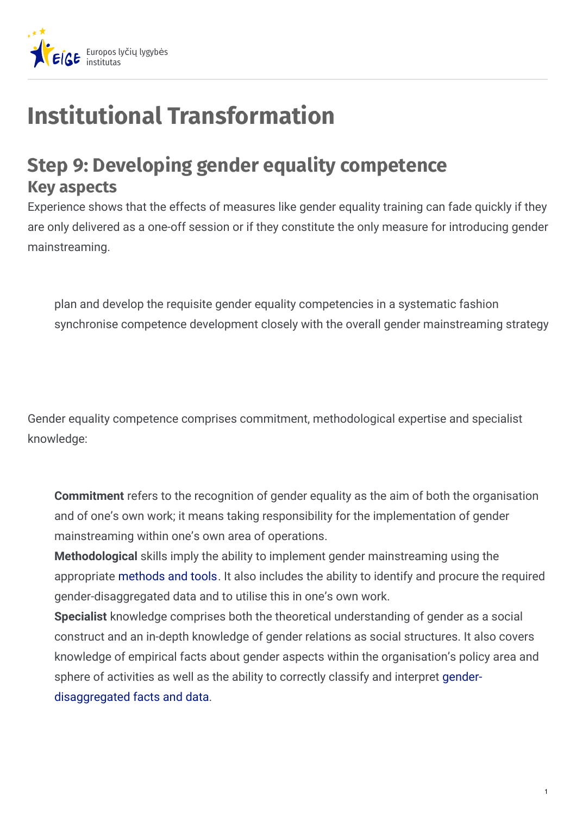

# **Institutional Transformation**

## **Step 9: Developing gender equality competence Key aspects**

Experience shows that the effects of measures like gender equality training can fade quickly if they are only delivered as a one-off session or if they constitute the only measure for introducing gender mainstreaming.

plan and develop the requisite gender equality competencies in a systematic fashion synchronise competence development closely with the overall gender mainstreaming strategy

Gender equality competence comprises commitment, methodological expertise and specialist knowledge:

**Commitment** refers to the recognition of gender equality as the aim of both the organisation and of one's own work; it means taking responsibility for the implementation of gender mainstreaming within one's own area of operations.

**Methodological** skills imply the ability to implement gender mainstreaming using the appropriate [methods](https://eige.europa.eu/gender-mainstreaming/tools-and-methods/gender-mainstreaming-and-institutional-transformation/step-8-introducing-gender-mainstreaming) and tools. It also includes the ability to identify and procure the required gender-disaggregated data and to utilise this in one's own work.

**Specialist** knowledge comprises both the theoretical understanding of gender as a social construct and an in-depth knowledge of gender relations as social structures. It also covers knowledge of empirical facts about gender aspects within the organisation's policy area and sphere of activities as well as the ability to correctly classify and interpret gender[disaggregated](https://eige.europa.eu/gender-mainstreaming/tools-and-methods/gender-mainstreaming-and-institutional-transformation/step-10-establishing-gender-information-management-system) facts and data.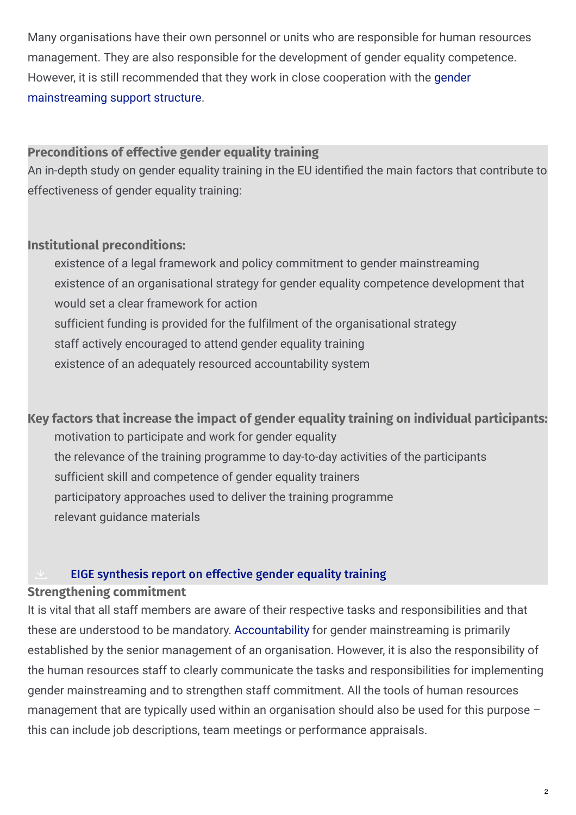Many organisations have their own personnel or units who are responsible for human resources management. They are also responsible for the development of gender equality competence. However, it is still [recommended](https://eige.europa.eu/gender-mainstreaming/tools-and-methods/gender-mainstreaming-and-institutional-transformation/step-5-establishing-gender-mainstreaming-support-structure) that they work in close cooperation with the gender mainstreaming support structure.

#### **Preconditions of effective gender equality training**

An in-depth study on gender equality training in the EU identified the main factors that contribute to effectiveness of gender equality training:

#### **Institutional preconditions:**

existence of a legal framework and policy commitment to gender mainstreaming existence of an organisational strategy for gender equality competence development that would set a clear framework for action sufficient funding is provided for the fulfilment of the organisational strategy staff actively encouraged to attend gender equality training existence of an adequately resourced accountability system

**Key factors that increase the impact of gender equality training on individual participants:** motivation to participate and work for gender equality the relevance of the training programme to day-to-day activities of the participants sufficient skill and competence of gender equality trainers participatory approaches used to deliver the training programme relevant guidance materials

#### **EIGE [synthesis](https://eige.europa.eu/sites/default/files/documents/MH0113602ENC_PDF.Web_.pdf) report on effective gender equality training**

#### **Strengthening commitment**

It is vital that all staff members are aware of their respective tasks and responsibilities and that these are understood to be mandatory. [Accountability](https://eige.europa.eu/gender-mainstreaming/tools-and-methods/gender-mainstreaming-and-institutional-transformation/step-1-creating-accountability-and-strengthening-commitment) for gender mainstreaming is primarily established by the senior management of an organisation. However, it is also the responsibility of the human resources staff to clearly communicate the tasks and responsibilities for implementing gender mainstreaming and to strengthen staff commitment. All the tools of human resources management that are typically used within an organisation should also be used for this purpose this can include job descriptions, team meetings or performance appraisals.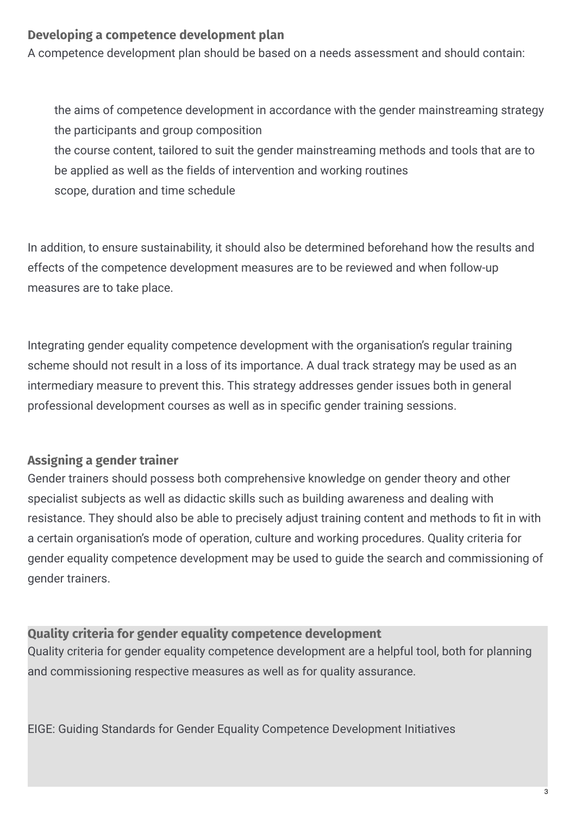#### **Developing a competence development plan**

A competence development plan should be based on a needs assessment and should contain:

the aims of competence development in accordance with the gender mainstreaming strategy the participants and group composition the course content, tailored to suit the gender mainstreaming methods and tools that are to be applied as well as the fields of intervention and working routines scope, duration and time schedule

In addition, to ensure sustainability, it should also be determined beforehand how the results and effects of the competence development measures are to be reviewed and when follow-up measures are to take place.

Integrating gender equality competence development with the organisation's regular training scheme should not result in a loss of its importance. A dual track strategy may be used as an intermediary measure to prevent this. This strategy addresses gender issues both in general professional development courses as well as in specific gender training sessions.

#### **Assigning a gender trainer**

Gender trainers should possess both comprehensive knowledge on gender theory and other specialist subjects as well as didactic skills such as building awareness and dealing with resistance. They should also be able to precisely adjust training content and methods to fit in with a certain organisation's mode of operation, culture and working procedures. Quality criteria for gender equality competence development may be used to guide the search and commissioning of gender trainers.

#### **Quality criteria for gender equality competence development**

Quality criteria for gender equality competence development are a helpful tool, both for planning and commissioning respective measures as well as for quality assurance.

EIGE: Guiding Standards for Gender Equality Competence Development Initiatives